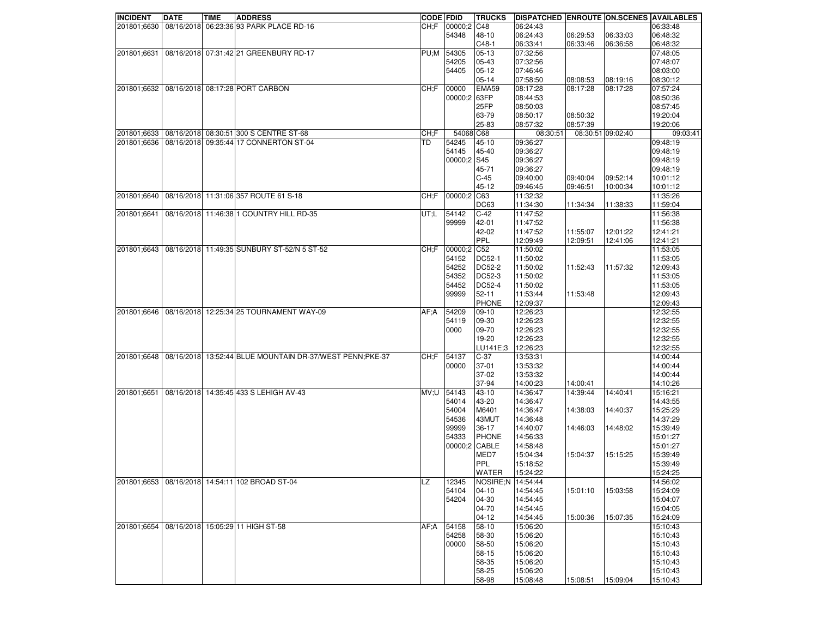| <b>INCIDENT</b> | <b>DATE</b> | TIME | <b>ADDRESS</b>                                            | <b>CODE FDID</b> |               | <b>TRUCKS</b>     | DISPATCHED ENROUTE ON SCENES AVAILABLES |          |                   |          |
|-----------------|-------------|------|-----------------------------------------------------------|------------------|---------------|-------------------|-----------------------------------------|----------|-------------------|----------|
| 201801;6630     |             |      | 08/16/2018 06:23:36 93 PARK PLACE RD-16                   | CH: F            | 00000;2 C48   |                   | 06:24:43                                |          |                   | 06:33:48 |
|                 |             |      |                                                           |                  | 54348         | 48-10             | 06:24:43                                | 06:29:53 | 06:33:03          | 06:48:32 |
|                 |             |      |                                                           |                  |               | $C48-1$           | 06:33:41                                | 06:33:46 | 06:36:58          | 06:48:32 |
| 201801;6631     |             |      | 08/16/2018 07:31:42 21 GREENBURY RD-17                    | PU;M             | 54305         | 05-13             | 07:32:56                                |          |                   | 07:48:05 |
|                 |             |      |                                                           |                  | 54205         | 05-43             | 07:32:56                                |          |                   | 07:48:07 |
|                 |             |      |                                                           |                  | 54405         | $05-12$           | 07:46:46                                |          |                   | 08:03:00 |
|                 |             |      |                                                           |                  |               | 05-14             | 07:58:50                                | 08:08:53 | 08:19:16          | 08:30:12 |
| 201801;6632     |             |      | 08/16/2018 08:17:28 PORT CARBON                           | CH: F            | 00000         | EMA59             | 08:17:28                                | 08:17:28 | 08:17:28          | 07:57:24 |
|                 |             |      |                                                           |                  | 00000:2 63FP  |                   | 08:44:53                                |          |                   | 08:50:36 |
|                 |             |      |                                                           |                  |               | <b>25FP</b>       | 08:50:03                                |          |                   | 08:57:45 |
|                 |             |      |                                                           |                  |               |                   |                                         |          |                   | 19:20:04 |
|                 |             |      |                                                           |                  |               | 63-79             | 08:50:17                                | 08:50:32 |                   |          |
|                 |             |      |                                                           |                  |               | 25-83             | 08:57:32                                | 08:57:39 |                   | 19:20:06 |
| 201801;6633     |             |      | 08/16/2018 08:30:51 300 S CENTRE ST-68                    | CH: F            | 54068 C68     |                   | 08:30:51                                |          | 08:30:51 09:02:40 | 09:03:41 |
| 201801;6636     |             |      | 08/16/2018 09:35:44 17 CONNERTON ST-04                    | TD               | 54245         | 45-10             | 09:36:27                                |          |                   | 09:48:19 |
|                 |             |      |                                                           |                  | 54145         | 45-40             | 09:36:27                                |          |                   | 09:48:19 |
|                 |             |      |                                                           |                  | 00000;2 S45   |                   | 09:36:27                                |          |                   | 09:48:19 |
|                 |             |      |                                                           |                  |               | 45-71             | 09:36:27                                |          |                   | 09:48:19 |
|                 |             |      |                                                           |                  |               | $ C-45 $          | 09:40:00                                | 09:40:04 | 09:52:14          | 10:01:12 |
|                 |             |      |                                                           |                  |               | 45-12             | 09:46:45                                | 09:46:51 | 10:00:34          | 10:01:12 |
| 201801;6640     |             |      | 08/16/2018 11:31:06 357 ROUTE 61 S-18                     | CH:F             | 00000;2 C63   |                   | 11:32:32                                |          |                   | 11:35:26 |
|                 |             |      |                                                           |                  |               | DC63              | 11:34:30                                | 11:34:34 | 11:38:33          | 11:59:04 |
| 201801;6641     |             |      | 08/16/2018 11:46:38 1 COUNTRY HILL RD-35                  | UT;L             | 54142         | $C-42$            | 11:47:52                                |          |                   | 11:56:38 |
|                 |             |      |                                                           |                  | 99999         | 42-01             | 11:47:52                                |          |                   | 11:56:38 |
|                 |             |      |                                                           |                  |               | 42-02             | 11:47:52                                | 11:55:07 | 12:01:22          | 12:41:21 |
|                 |             |      |                                                           |                  |               | PPL               | 12:09:49                                | 12:09:51 | 12:41:06          | 12:41:21 |
| 201801;6643     |             |      | 08/16/2018 11:49:35 SUNBURY ST-52/N 5 ST-52               | CH: F            | 00000:2 C52   |                   | 11:50:02                                |          |                   | 11:53:05 |
|                 |             |      |                                                           |                  |               |                   |                                         |          |                   |          |
|                 |             |      |                                                           |                  | 54152         | DC52-1            | 11:50:02                                |          |                   | 11:53:05 |
|                 |             |      |                                                           |                  | 54252         | DC52-2            | 11:50:02                                | 11:52:43 | 11:57:32          | 12:09:43 |
|                 |             |      |                                                           |                  | 54352         | DC52-3            | 11:50:02                                |          |                   | 11:53:05 |
|                 |             |      |                                                           |                  | 54452         | <b>DC52-4</b>     | 11:50:02                                |          |                   | 11:53:05 |
|                 |             |      |                                                           |                  | 99999         | $52 - 11$         | 11:53:44                                | 11:53:48 |                   | 12:09:43 |
|                 |             |      |                                                           |                  |               | <b>PHONE</b>      | 12:09:37                                |          |                   | 12:09:43 |
| 201801;6646     |             |      | 08/16/2018 12:25:34 25 TOURNAMENT WAY-09                  | AF:A             | 54209         | 09-10             | 12:26:23                                |          |                   | 12:32:55 |
|                 |             |      |                                                           |                  | 54119         | 09-30             | 12:26:23                                |          |                   | 12:32:55 |
|                 |             |      |                                                           |                  | 0000          | 09-70             | 12:26:23                                |          |                   | 12:32:55 |
|                 |             |      |                                                           |                  |               | 19-20             | 12:26:23                                |          |                   | 12:32:55 |
|                 |             |      |                                                           |                  |               | LU141E;3          | 12:26:23                                |          |                   | 12:32:55 |
| 201801;6648     |             |      | 08/16/2018 13:52:44 BLUE MOUNTAIN DR-37/WEST PENN; PKE-37 | CH:F             | 54137         | $C-37$            | 13:53:31                                |          |                   | 14:00:44 |
|                 |             |      |                                                           |                  | 00000         | $37-01$           | 13:53:32                                |          |                   | 14:00:44 |
|                 |             |      |                                                           |                  |               | 37-02             | 13:53:32                                |          |                   | 14:00:44 |
|                 |             |      |                                                           |                  |               | 37-94             | 14:00:23                                | 14:00:41 |                   | 14:10:26 |
| 201801;6651     |             |      | 08/16/2018 14:35:45 433 S LEHIGH AV-43                    | MV;U             | 54143         | 43-10             | 14:36:47                                | 14:39:44 | 14:40:41          | 15:16:21 |
|                 |             |      |                                                           |                  | 54014         | 43-20             | 14:36:47                                |          |                   | 14:43:55 |
|                 |             |      |                                                           |                  | 54004         | M6401             | 14:36:47                                | 14:38:03 | 14:40:37          | 15:25:29 |
|                 |             |      |                                                           |                  | 54536         | 43MUT             | 14:36:48                                |          |                   | 14:37:29 |
|                 |             |      |                                                           |                  |               |                   |                                         |          |                   |          |
|                 |             |      |                                                           |                  | 99999         | 36-17             | 14:40:07                                | 14:46:03 | 14:48:02          | 15:39:49 |
|                 |             |      |                                                           |                  | 54333         | <b>PHONE</b>      | 14:56:33                                |          |                   | 15:01:27 |
|                 |             |      |                                                           |                  | 00000;2 CABLE |                   | 14:58:48                                |          |                   | 15:01:27 |
|                 |             |      |                                                           |                  |               | MED7              | 15:04:34                                | 15:04:37 | 15:15:25          | 15:39:49 |
|                 |             |      |                                                           |                  |               | <b>PPL</b>        | 15:18:52                                |          |                   | 15:39:49 |
|                 |             |      |                                                           |                  |               | <b>WATER</b>      | 15:24:22                                |          |                   | 15:24:25 |
| 201801;6653     |             |      | 08/16/2018 14:54:11 102 BROAD ST-04                       | <b>LZ</b>        | 12345         | NOSIRE;N 14:54:44 |                                         |          |                   | 14:56:02 |
|                 |             |      |                                                           |                  | 54104         | $ 04-10 $         | 14:54:45                                | 15:01:10 | 15:03:58          | 15:24:09 |
|                 |             |      |                                                           |                  | 54204         | $ 04-30 $         | 14:54:45                                |          |                   | 15:04:07 |
|                 |             |      |                                                           |                  |               | 04-70             | 14:54:45                                |          |                   | 15:04:05 |
|                 |             |      |                                                           |                  |               | $ 04-12$          | 14:54:45                                | 15:00:36 | 15:07:35          | 15:24:09 |
| 201801;6654     |             |      | 08/16/2018 15:05:29 11 HIGH ST-58                         | AF:A             | 54158         | 58-10             | 15:06:20                                |          |                   | 15:10:43 |
|                 |             |      |                                                           |                  | 54258         | 58-30             | 15:06:20                                |          |                   | 15:10:43 |
|                 |             |      |                                                           |                  | 00000         | 58-50             | 15:06:20                                |          |                   | 15:10:43 |
|                 |             |      |                                                           |                  |               |                   |                                         |          |                   |          |
|                 |             |      |                                                           |                  |               | 58-15             | 15:06:20                                |          |                   | 15:10:43 |
|                 |             |      |                                                           |                  |               | 58-35             | 15:06:20                                |          |                   | 15:10:43 |
|                 |             |      |                                                           |                  |               | 58-25             | 15:06:20                                |          |                   | 15:10:43 |
|                 |             |      |                                                           |                  |               | 58-98             | 15:08:48                                | 15:08:51 | 15:09:04          | 15:10:43 |